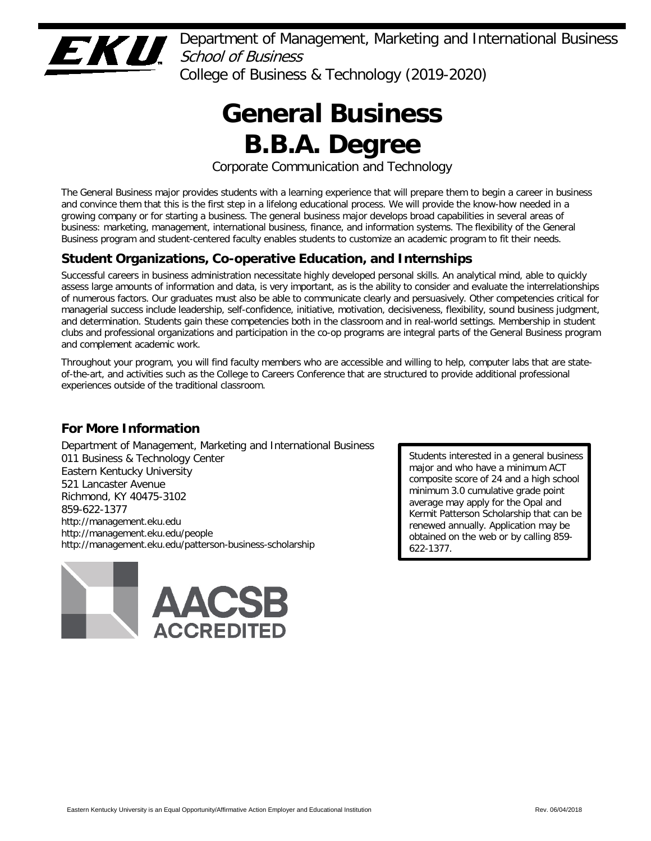

Department of Management, Marketing and International Business School of Business College of Business & Technology (2019-2020)

> **General Business B.B.A. Degree**

Corporate Communication and Technology

The General Business major provides students with a learning experience that will prepare them to begin a career in business and convince them that this is the first step in a lifelong educational process. We will provide the know-how needed in a growing company or for starting a business. The general business major develops broad capabilities in several areas of business: marketing, management, international business, finance, and information systems. The flexibility of the General Business program and student-centered faculty enables students to customize an academic program to fit their needs.

# **Student Organizations, Co-operative Education, and Internships**

Successful careers in business administration necessitate highly developed personal skills. An analytical mind, able to quickly assess large amounts of information and data, is very important, as is the ability to consider and evaluate the interrelationships of numerous factors. Our graduates must also be able to communicate clearly and persuasively. Other competencies critical for managerial success include leadership, self-confidence, initiative, motivation, decisiveness, flexibility, sound business judgment, and determination. Students gain these competencies both in the classroom and in real-world settings. Membership in student clubs and professional organizations and participation in the co-op programs are integral parts of the General Business program and complement academic work.

Throughout your program, you will find faculty members who are accessible and willing to help, computer labs that are stateof-the-art, and activities such as the College to Careers Conference that are structured to provide additional professional experiences outside of the traditional classroom.

# **For More Information**

Department of Management, Marketing and International Business 011 Business & Technology Center Eastern Kentucky University 521 Lancaster Avenue Richmond, KY 40475-3102 859-622-1377 http://management.eku.edu http://management.eku.edu/people http://management.eku.edu/patterson-business-scholarship



Students interested in a general business major and who have a minimum ACT composite score of 24 and a high school minimum 3.0 cumulative grade point average may apply for the Opal and Kermit Patterson Scholarship that can be renewed annually. Application may be obtained on the web or by calling 859- 622-1377.